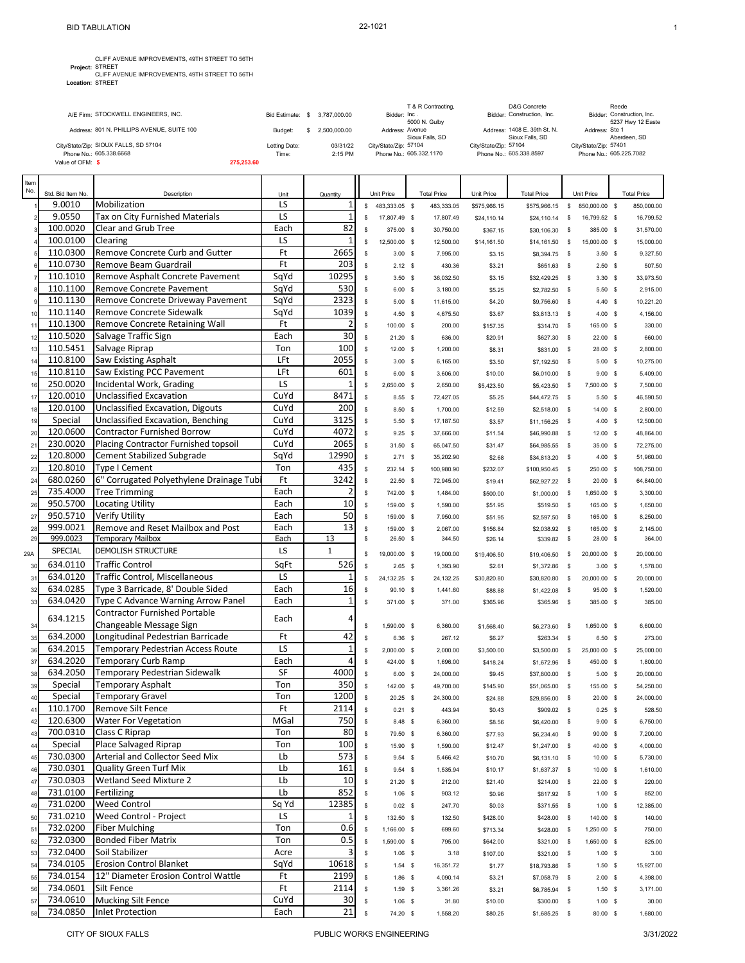CLIFF AVENUE IMPROVEMENTS, 49TH STREET TO 56TH<br>Project: STREET

**LIFF AVENUE IMPROVEMENTS, 49TH STREET<br><b>Location:** STREET

|                                             |            |                  |              |                       | T & R Contracting,      |                         | D&G Concrete                                    | Reede                                           |
|---------------------------------------------|------------|------------------|--------------|-----------------------|-------------------------|-------------------------|-------------------------------------------------|-------------------------------------------------|
| A/E Firm: STOCKWELL ENGINEERS. INC.         |            | Bid Estimate: \$ | 3.787.000.00 | Bidder: Inc.          | 5000 N. Gulby           |                         | Bidder: Construction. Inc.                      | Bidder: Construction. Inc.<br>5237 Hwy 12 Easte |
| Address: 801 N. PHILLIPS AVENUE, SUITE 100  |            | Budget:          | 2.500.000.00 | Address: Avenue       | Sioux Falls, SD         |                         | Address: 1408 E. 39th St. N.<br>Sioux Falls, SD | Address: Ste 1<br>Aberdeen, SD                  |
| City/State/Zip: SIOUX FALLS, SD 57104       |            | Letting Date:    | 03/31/22     | City/State/Zip: 57104 |                         | City/State/Zip: 57104   |                                                 | City/State/Zip: 57401                           |
| Phone No.: 605.338.6668<br>Value of OFM: \$ | 275.253.60 | Time:            | $2:15$ PM    |                       | Phone No.: 605.332.1170 | Phone No.: 605.338.8597 |                                                 | Phone No.: 605.225.7082                         |

| Item<br>No.    |                      |                                                                         |              |                             |                  |                                   |                           |                       |                           |                              |                                   |                       |
|----------------|----------------------|-------------------------------------------------------------------------|--------------|-----------------------------|------------------|-----------------------------------|---------------------------|-----------------------|---------------------------|------------------------------|-----------------------------------|-----------------------|
|                | Std. Bid Item No.    | Description                                                             | Unit         | Quantity                    | Unit Price       |                                   | <b>Total Price</b>        | Unit Price            | <b>Total Price</b>        |                              | Unit Price                        | <b>Total Price</b>    |
|                | 9.0010               | Mobilization<br>Tax on City Furnished Materials                         | LS<br>LS     | $\mathbf{1}$<br>$\mathbf 1$ | \$               | 483,333.05 \$                     | 483,333.05                | \$575.966.15          | \$575,966.15              | \$                           | 850,000.00 \$                     | 850,000.00            |
|                | 9.0550<br>100.0020   | <b>Clear and Grub Tree</b>                                              | Each         | 82                          | S                | 17,807.49 \$                      | 17,807.49                 | \$24,110.14           | \$24,110.14               | - \$                         | 16,799.52 \$                      | 16,799.52             |
|                | 100.0100             | Clearing                                                                | LS           | $\mathbf{1}$                | S                | 375.00                            | $\mathbf{s}$<br>30,750.00 | \$367.15              | \$30,106.30               | <b>S</b>                     | 385.00 \$                         | 31,570.00             |
|                | 110.0300             | Remove Concrete Curb and Gutter                                         | Ft           | 2665                        | \$<br>s          | 12.500.00 \$<br>3.00 <sup>5</sup> | 12,500.00<br>7,995.00     | \$14,161.50<br>\$3.15 | \$14,161.50<br>\$8,394.75 | $\mathbf{s}$<br>$\mathbf{s}$ | 15,000.00 \$<br>3.50 <sup>5</sup> | 15,000.00<br>9,327.50 |
|                | 110.0730             | Remove Beam Guardrail                                                   | Ft           | 203                         | \$               | $2.12$ \$                         | 430.36                    | \$3.21                | \$651.63                  | - \$                         | $2.50$ \$                         | 507.50                |
|                | 110.1010             | Remove Asphalt Concrete Pavement                                        | SqYd         | 10295                       | s                | 3.50 <sup>5</sup>                 | 36,032.50                 | \$3.15                | \$32,429.25               | $\mathbf s$                  | 3.30 <sup>5</sup>                 | 33,973.50             |
|                | 110.1100             | Remove Concrete Pavement                                                | SqYd         | 530                         | \$               | $6.00$ \$                         | 3,180.00                  | \$5.25                | \$2,782.50                | \$                           | $5.50$ \$                         | 2,915.00              |
|                | 110.1130             | Remove Concrete Driveway Pavement                                       | SqYd         | 2323                        | s                | 5.00                              | 11,615.00<br>- \$         | \$4.20                | \$9,756.60                | -S                           | 4.40 S                            | 10,221.20             |
| 10             | 110.1140             | Remove Concrete Sidewalk                                                | SqYd         | 1039                        | \$               | $4.50$ \$                         | 4,675.50                  | \$3.67                | \$3,813.13                | - \$                         | 4.00 S                            | 4,156.00              |
| 11             | 110.1300             | Remove Concrete Retaining Wall                                          | Ft           | $\overline{a}$              | \$               | 100.00 \$                         | 200.00                    | \$157.35              | \$314.70                  | - \$                         | 165.00 \$                         | 330.00                |
| 12             | 110.5020             | Salvage Traffic Sign                                                    | Each         | 30                          | s                | $21.20$ \$                        | 636.00                    | \$20.91               | \$627.30                  | <b>S</b>                     | 22.00 \$                          | 660.00                |
| 13             | 110.5451             | Salvage Riprap                                                          | Ton          | 100                         | \$               | $12.00$ \$                        | 1,200.00                  | \$8.31                | \$831.00                  | - \$                         | 28.00 \$                          | 2,800.00              |
| 1 <sub>6</sub> | 110.8100             | <b>Saw Existing Asphalt</b>                                             | LFt          | 2055                        | \$               | 3.00                              | $\mathbf{s}$<br>6,165.00  | \$3.50                | \$7,192.50                | \$                           | $5.00$ \$                         | 10,275.00             |
| 15             | 110.8110             | Saw Existing PCC Pavement                                               | LFt          | 601                         | \$               | 6.00 S                            | 3,606.00                  | \$10.00               | \$6,010.00                | - \$                         | 9.00 S                            | 5,409.00              |
| 16             | 250.0020             | Incidental Work, Grading                                                | LS           | $\mathbf{1}$                | \$               | 2,650.00 \$                       | 2,650.00                  | \$5,423.50            | \$5,423.50                | $\mathbf{s}$                 | 7,500.00 \$                       | 7,500.00              |
| 17             | 120.0010             | <b>Unclassified Excavation</b>                                          | CuYd         | 8471                        | Ś                | 8.55                              | $\mathbf{s}$<br>72,427.05 | \$5.25                | \$44,472.75               | - \$                         | $5.50$ \$                         | 46,590.50             |
| 11             | 120.0100             | <b>Unclassified Excavation, Digouts</b>                                 | CuYd         | 200                         | \$               | 8.50 \$                           | 1,700.00                  | \$12.59               | \$2,518.00                | - \$                         | 14.00 \$                          | 2,800.00              |
| 19             | Special              | Unclassified Excavation, Benching                                       | CuYd         | 3125                        | \$               | $5.50$ \$                         | 17,187.50                 | \$3.57                | \$11,156.25               | - \$                         | 4.00 S                            | 12,500.00             |
| 20             | 120.0600             | <b>Contractor Furnished Borrow</b>                                      | CuYd         | 4072                        | \$               | $9.25$ \$                         | 37,666.00                 | \$11.54               | \$46,990.88               | -\$                          | $12.00$ \$                        | 48,864.00             |
| 21             | 230.0020             | Placing Contractor Furnished topsoil                                    | CuYd         | 2065                        | s                | 31.50 \$                          | 65,047.50                 | \$31.47               | \$64,985.55               | - \$                         | 35.00 \$                          | 72,275.00             |
| 22             | 120.8000             | <b>Cement Stabilized Subgrade</b>                                       | SqYd         | 12990                       | \$               | $2.71$ \$                         | 35,202.90                 | \$2.68                | \$34,813.20               | - \$                         | 4.00 S                            | 51,960.00             |
| 23             | 120.8010             | <b>Type I Cement</b>                                                    | Ton          | 435                         | \$               | 232.14 \$                         | 100,980.90                | \$232.07              | \$100,950.45              | - \$                         | 250.00 \$                         | 108,750.00            |
| 24             | 680.0260             | 6" Corrugated Polyethylene Drainage Tubi                                | Ft           | 3242                        | \$               | $22.50$ \$                        | 72,945.00                 | \$19.41               | \$62,927.22               | $\mathbf{s}$                 | $20.00$ \$                        | 64,840.00             |
| 25             | 735.4000             | <b>Tree Trimming</b>                                                    | Each         | $\overline{a}$              | \$               | 742.00 \$                         | 1,484.00                  | \$500.00              | \$1,000.00                | - \$                         | 1,650.00 \$                       | 3,300.00              |
| 26             | 950.5700             | <b>Locating Utility</b>                                                 | Each         | 10                          | $\mathbb S$      | 159.00 \$                         | 1,590.00                  | \$51.95               | \$519.50                  | \$                           | 165.00 \$                         | 1,650.00              |
| 27             | 950.5710             | Verify Utility                                                          | Each         | 50                          | \$               | 159.00 \$                         | 7,950.00                  | \$51.95               | \$2,597.50                | - \$                         | 165.00 \$                         | 8,250.00              |
| 28<br>2S       | 999.0021<br>999.0023 | Remove and Reset Mailbox and Post<br><b>Temporary Mailbox</b>           | Each<br>Each | 13<br>13                    | \$<br>\$         | 159.00 \$                         | 2,067.00<br>344.50        | \$156.84              | \$2,038.92                | $\mathbf{s}$                 | 165.00 \$<br>28.00 \$             | 2,145.00<br>364.00    |
|                | SPECIAL              | DEMOLISH STRUCTURE                                                      | LS           | $\mathbf{1}$                |                  | 26.50 \$                          |                           | \$26.14               | \$339.82                  | - \$                         |                                   |                       |
| 29A            |                      |                                                                         |              |                             | S                | 19,000.00 \$                      | 19,000.00                 | \$19,406.50           | \$19,406.50               | - \$                         | 20,000.00 \$                      | 20,000.00             |
| 30             | 634.0110             | <b>Traffic Control</b>                                                  | SqFt         | 526                         | $\mathbb S$      | $2.65$ \$                         | 1,393.90                  | \$2.61                | \$1,372.86                | - \$                         | $3.00$ \$                         | 1,578.00              |
| 31             | 634.0120<br>634.0285 | <b>Traffic Control, Miscellaneous</b>                                   | LS           | $\mathbf{1}$<br>16          | $\mathbb S$      | 24,132.25 \$                      | 24,132.25                 | \$30,820.80           | \$30,820.80               | \$                           | 20,000.00 \$                      | 20,000.00             |
| 32<br>33       | 634.0420             | Type 3 Barricade, 8' Double Sided<br>Type C Advance Warning Arrow Panel | Each<br>Each | $\mathbf{1}$                | $\mathbb S$<br>s | 90.10 \$                          | 1,441.60                  | \$88.88               | \$1,422.08                | - \$                         | 95.00 \$                          | 1,520.00<br>385.00    |
|                |                      | <b>Contractor Furnished Portable</b>                                    |              |                             |                  | 371.00 \$                         | 371.00                    | \$365.96              | \$365.96                  | - \$                         | 385.00 \$                         |                       |
| 34             | 634.1215             | Changeable Message Sign                                                 | Each         | 4                           | s                | 1,590.00 \$                       | 6,360.00                  |                       |                           | - \$                         | 1,650.00 \$                       | 6,600.00              |
| 35             | 634.2000             | Longitudinal Pedestrian Barricade                                       | Ft           | 42                          | $\mathbb S$      | 6.36                              | 267.12<br>- \$            | \$1,568.40<br>\$6.27  | \$6,273.60<br>\$263.34    | -\$                          | 6.50%                             | 273.00                |
| 36             | 634.2015             | Temporary Pedestrian Access Route                                       | LS           | $\mathbf{1}$                | \$               | 2,000.00 \$                       | 2,000.00                  | \$3,500.00            | \$3,500.00                | - \$                         | 25,000.00 \$                      | 25,000.00             |
| 37             | 634.2020             | Temporary Curb Ramp                                                     | Each         | 4                           | $\mathbb S$      | 424.00 \$                         | 1,696.00                  | \$418.24              | \$1,672.96                | - \$                         | 450.00 \$                         | 1,800.00              |
| 38             | 634.2050             | <b>Temporary Pedestrian Sidewalk</b>                                    | SF           | 4000                        | $\mathbb{S}$     | 6.00%                             | 24,000.00                 | \$9.45                | \$37,800.00               | -\$                          | 5.00%                             | 20,000.00             |
| 39             | Special              | <b>Temporary Asphalt</b>                                                | Ton          | 350                         | s                | 142.00 \$                         | 49,700.00                 | \$145.90              | \$51,065.00               | - \$                         | 155.00 \$                         | 54,250.00             |
| 40             | Special              | Temporary Gravel                                                        | Ton          | 1200                        | \$               | 20.25 \$                          | 24,300.00                 | \$24.88               | \$29,856.00               | -\$                          | 20.00 S                           | 24,000.00             |
| 41             | 110.1700             | Remove Silt Fence                                                       | Ft           | 2114                        | \$               | 0.21 S                            | 443.94                    | \$0.43                | \$909.02                  | $\mathbf{s}$                 | $0.25$ \$                         | 528.50                |
| 42             | 120.6300             | Water For Vegetation                                                    | MGal         | 750                         | \$               | 8.48 \$                           | 6,360.00                  | \$8.56                | \$6,420.00 \$             |                              | $9.00$ \$                         | 6,750.00              |
| 43             | 700.0310             | Class C Riprap                                                          | Ton          | 80                          | \$               | 79.50 \$                          | 6,360.00                  | \$77.93               | \$6,234.40                | - \$                         | $90.00$ \$                        | 7,200.00              |
| 44             | Special              | Place Salvaged Riprap                                                   | Ton          | 100                         | \$               | 15.90 \$                          | 1,590.00                  | \$12.47               | \$1,247.00                | - \$                         | 40.00 \$                          | 4,000.00              |
| 45             | 730.0300             | Arterial and Collector Seed Mix                                         | Lb           | 573                         | \$               | $9.54$ \$                         | 5,466.42                  | \$10.70               | $$6,131.10$ \$            |                              | $10.00$ \$                        | 5,730.00              |
| 46             | 730.0301             | <b>Quality Green Turf Mix</b>                                           | Lb           | 161                         | \$               | $9.54$ \$                         | 1,535.94                  | \$10.17               | $$1,637.37$ \$            |                              | 10.00 \$                          | 1,610.00              |
| 47             | 730.0303             | <b>Wetland Seed Mixture 2</b>                                           | Lb           | 10                          | \$               | 21.20 \$                          | 212.00                    | \$21.40               | \$214.00 \$               |                              | 22.00 \$                          | 220.00                |
| 48             | 731.0100             | Fertilizing                                                             | Lb           | 852                         | \$               | $1.06$ \$                         | 903.12                    | \$0.96                | \$817.92 \$               |                              | $1.00$ \$                         | 852.00                |
| 49             | 731.0200             | <b>Weed Control</b>                                                     | Sq Yd        | 12385                       | \$               | $0.02$ \$                         | 247.70                    | \$0.03                | \$371.55 \$               |                              | $1.00$ \$                         | 12,385.00             |
| 50             | 731.0210             | Weed Control - Project                                                  | LS           | 1                           | \$               | 132.50 \$                         | 132.50                    | \$428.00              | \$428.00 \$               |                              | 140.00 \$                         | 140.00                |
| 51             | 732.0200             | <b>Fiber Mulching</b>                                                   | Ton          | 0.6                         | \$               | 1,166.00 \$                       | 699.60                    | \$713.34              | \$428.00 \$               |                              | 1,250.00 \$                       | 750.00                |
| 52             | 732.0300             | <b>Bonded Fiber Matrix</b>                                              | Ton          | 0.5                         | \$               | 1,590.00 \$                       | 795.00                    | \$642.00              | \$321.00                  | - \$                         | 1,650.00 \$                       | 825.00                |
| 53             | 732.0400             | Soil Stabilizer                                                         | Acre         | 3                           | \$               | $1.06$ \$                         | 3.18                      | \$107.00              | \$321.00 \$               |                              | 1.00 S                            | 3.00                  |
| 54             | 734.0105             | <b>Erosion Control Blanket</b>                                          | SqYd         | 10618                       | \$               | $1.54$ \$                         | 16,351.72                 | \$1.77                | \$18,793.86 \$            |                              | $1.50$ \$                         | 15,927.00             |
| 55             | 734.0154             | 12" Diameter Erosion Control Wattle                                     | Ft           | 2199                        | \$               | $1.86$ \$                         | 4,090.14                  | \$3.21                | \$7,058.79                | - \$                         | $2.00$ \$                         | 4,398.00              |
| 56             | 734.0601             | Silt Fence                                                              | Ft           | 2114                        | \$               | $1.59$ \$                         | 3,361.26                  | \$3.21                | \$6,785.94 \$             |                              | $1.50$ \$                         | 3,171.00              |
| 57             | 734.0610             | <b>Mucking Silt Fence</b>                                               | CuYd         | 30                          | \$               | $1.06$ \$                         | 31.80                     | \$10.00               | \$300.00 \$               |                              | $1.00$ \$                         | 30.00                 |
| 58             | 734.0850             | <b>Inlet Protection</b>                                                 | Each         | 21                          | \$               | 74.20 \$                          | 1,558.20                  | \$80.25               | \$1,685.25 \$             |                              | 80.00 \$                          | 1,680.00              |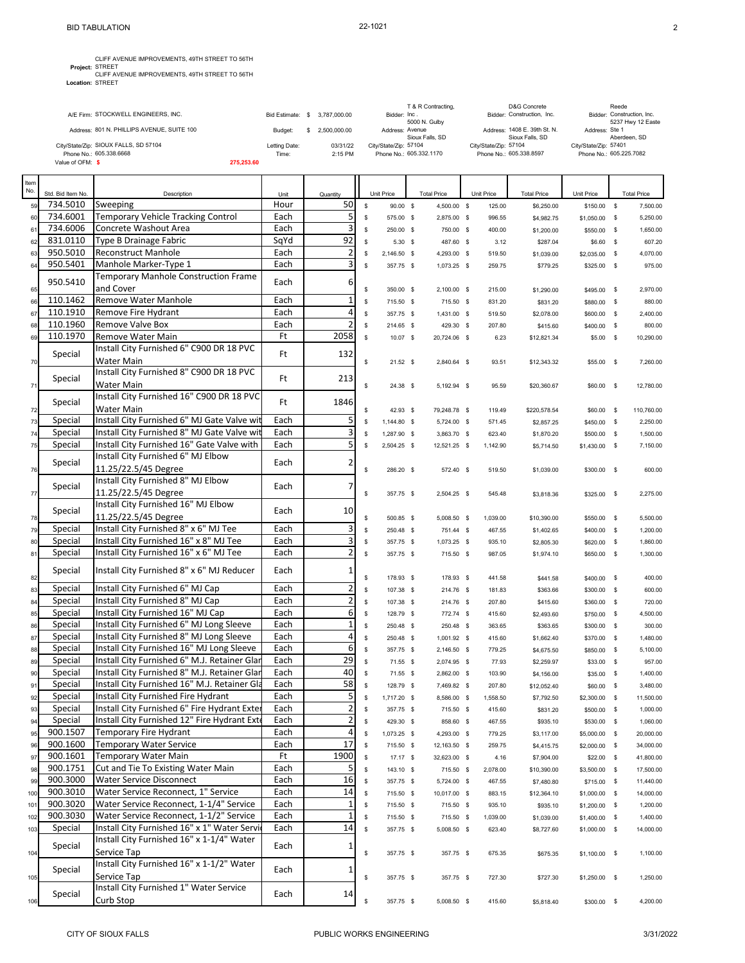T & R Contracting,

D&G Concrete

**Project:** STREET **LIFF AVENUE IMPROVEMENTS, 49TH STREET<br><b>Location:** STREET

|                |                      | A/E Firm: STOCKWELL ENGINEERS, INC.                              |                        |    | Bid Estimate: \$ 3,787,000.00 |              | Bidder: Inc.                                     | I & R Contracting  |            |                  | Concrete ن D&G<br>Bidder: Construction, Inc.     |                                                  | Reede | Bidder: Construction, Inc. |
|----------------|----------------------|------------------------------------------------------------------|------------------------|----|-------------------------------|--------------|--------------------------------------------------|--------------------|------------|------------------|--------------------------------------------------|--------------------------------------------------|-------|----------------------------|
|                |                      | Address: 801 N. PHILLIPS AVENUE, SUITE 100                       | Budget:                | s. | 2,500,000.00                  |              | Address: Avenue                                  | 5000 N. Gulby      |            |                  | Address: 1408 E. 39th St. N.                     | Address: Ste 1                                   |       | 5237 Hwy 12 Easte          |
|                |                      |                                                                  |                        |    |                               |              |                                                  | Sioux Falls, SD    |            |                  | Sioux Falls, SD                                  |                                                  |       | Aberdeen, SD               |
|                |                      | City/State/Zip: SIOUX FALLS, SD 57104<br>Phone No.: 605.338.6668 | Letting Date:<br>Time: |    | 03/31/22<br>2:15 PM           |              | City/State/Zip: 57104<br>Phone No.: 605.332.1170 |                    |            |                  | City/State/Zip: 57104<br>Phone No.: 605.338.8597 | City/State/Zip: 57401<br>Phone No.: 605.225.7082 |       |                            |
|                | Value of OFM: \$     | 275,253.60                                                       |                        |    |                               |              |                                                  |                    |            |                  |                                                  |                                                  |       |                            |
|                |                      |                                                                  |                        |    |                               |              |                                                  |                    |            |                  |                                                  |                                                  |       |                            |
| Item<br>No.    | Std. Bid Item No.    | Description                                                      | Unit                   |    | Quantity                      |              | Unit Price                                       | <b>Total Price</b> | Unit Price |                  | <b>Total Price</b>                               | Unit Price                                       |       | <b>Total Price</b>         |
| 59             | 734.5010             | Sweeping                                                         | Hour                   |    | 50                            | $\mathbb{S}$ | $90.00$ \$                                       | 4,500.00 \$        |            | 125.00           | \$6,250.00                                       | \$150.00 \$                                      |       | 7,500.00                   |
| 60             | 734.6001             | Temporary Vehicle Tracking Control                               | Each                   |    | 5                             | \$           | 575.00 \$                                        | 2,875.00 \$        |            | 996.55           | \$4,982.75                                       | \$1,050.00 \$                                    |       | 5,250.00                   |
| 6 <sup>′</sup> | 734.6006             | Concrete Washout Area                                            | Each                   |    | 3                             | $\mathbb{S}$ | 250.00 \$                                        | 750.00 \$          |            | 400.00           | \$1,200.00                                       | \$550.00 \$                                      |       | 1,650.00                   |
| 62             | 831.0110             | <b>Type B Drainage Fabric</b>                                    | SqYd                   |    | 92                            | $\mathbb{S}$ | 5.30 <sup>5</sup>                                | 487.60 \$          |            | 3.12             | \$287.04                                         | \$6.60 \$                                        |       | 607.20                     |
| 63             | 950.5010             | <b>Reconstruct Manhole</b>                                       | Each                   |    | $\overline{2}$                | $\mathbb{S}$ | 2,146.50 \$                                      | 4,293.00 \$        |            | 519.50           | \$1,039.00                                       | \$2,035.00 \$                                    |       | 4,070.00                   |
| 64             | 950.5401             | Manhole Marker-Type 1                                            | Each                   |    | 3                             | \$           | 357.75 \$                                        | 1,073.25 \$        |            | 259.75           | \$779.25                                         | \$325.00 \$                                      |       | 975.00                     |
|                |                      | Temporary Manhole Construction Frame                             |                        |    |                               |              |                                                  |                    |            |                  |                                                  |                                                  |       |                            |
| 65             | 950.5410             | and Cover                                                        | Each                   |    | 6                             | \$           | 350.00 \$                                        | 2,100.00 \$        |            | 215.00           |                                                  | \$495.00 \$                                      |       | 2,970.00                   |
| 66             | 110.1462             | Remove Water Manhole                                             | Each                   |    | $\mathbf{1}$                  | \$           |                                                  |                    |            |                  | \$1,290.00                                       |                                                  |       | 880.00                     |
| 67             | 110.1910             | Remove Fire Hydrant                                              | Each                   |    | 4                             | $\mathbb{S}$ | 715.50 \$                                        | 715.50 \$          |            | 831.20<br>519.50 | \$831.20                                         | \$880.00 \$                                      |       |                            |
|                | 110.1960             | Remove Valve Box                                                 | Each                   |    | $\overline{a}$                |              | 357.75 \$                                        | 1,431.00 \$        |            |                  | \$2,078.00                                       | \$600.00 \$                                      |       | 2,400.00                   |
| 68             | 110.1970             | Remove Water Main                                                | Ft                     |    | 2058                          | $\mathbb{S}$ | 214.65 \$                                        | 429.30 \$          |            | 207.80           | \$415.60                                         | \$400.00 \$                                      |       | 800.00                     |
| 69             |                      | Install City Furnished 6" C900 DR 18 PVC                         |                        |    |                               | \$           | 10.07 \$                                         | 20,724.06 \$       |            | 6.23             | \$12,821.34                                      | $$5.00$ \$                                       |       | 10,290.00                  |
|                | Special              |                                                                  | Ft                     |    | 132                           |              |                                                  |                    |            |                  |                                                  |                                                  |       |                            |
| 70             |                      | Water Main                                                       |                        |    |                               | $\mathbb S$  | $21.52$ \$                                       | 2,840.64 \$        |            | 93.51            | \$12,343.32                                      | \$55.00 \$                                       |       | 7,260.00                   |
|                | Special              | Install City Furnished 8" C900 DR 18 PVC                         | Ft                     |    | 213                           |              |                                                  |                    |            |                  |                                                  |                                                  |       |                            |
| 71             |                      | Water Main                                                       |                        |    |                               | \$           | 24.38 \$                                         | 5,192.94 \$        |            | 95.59            | \$20,360.67                                      | \$60.00 \$                                       |       | 12,780.00                  |
|                | Special              | Install City Furnished 16" C900 DR 18 PVC                        | Ft                     |    | 1846                          |              |                                                  |                    |            |                  |                                                  |                                                  |       |                            |
| 72             |                      | Water Main                                                       |                        |    |                               | \$           | 42.93 \$                                         | 79,248.78 \$       |            | 119.49           | \$220,578.54                                     | \$60.00 \$                                       |       | 110,760.00                 |
| 73             | Special              | Install City Furnished 6" MJ Gate Valve wit                      | Each                   |    | 5                             | \$           | 1,144.80 \$                                      | 5,724.00 \$        |            | 571.45           | \$2,857.25                                       | \$450.00 \$                                      |       | 2,250.00                   |
| 74             | Special              | Install City Furnished 8" MJ Gate Valve wit                      | Each                   |    | 3                             | $\mathbb{S}$ | 1,287.90 \$                                      | 3,863.70 \$        |            | 623.40           | \$1,870.20                                       | \$500.00 \$                                      |       | 1,500.00                   |
| 75             | Special              | Install City Furnished 16" Gate Valve with                       | Each                   |    | 5                             | \$           | 2,504.25 \$                                      | 12,521.25 \$       |            | 1,142.90         | \$5,714.50                                       | $$1,430.00$ \$                                   |       | 7,150.00                   |
|                | Special              | Install City Furnished 6" MJ Elbow                               | Each                   |    | 2                             |              |                                                  |                    |            |                  |                                                  |                                                  |       |                            |
| 76             |                      | 11.25/22.5/45 Degree                                             |                        |    |                               | \$           | 286.20 \$                                        | 572.40 \$          |            | 519.50           | \$1,039.00                                       | \$300.00 \$                                      |       | 600.00                     |
|                | Special              | Install City Furnished 8" MJ Elbow                               | Each                   |    | 7                             |              |                                                  |                    |            |                  |                                                  |                                                  |       |                            |
| 77             |                      | 11.25/22.5/45 Degree                                             |                        |    |                               | \$           | 357.75 \$                                        | 2,504.25 \$        |            | 545.48           | \$3,818.36                                       | \$325.00 \$                                      |       | 2,275.00                   |
|                | Special              | Install City Furnished 16" MJ Elbow                              | Each                   |    | 10                            |              |                                                  |                    |            |                  |                                                  |                                                  |       |                            |
| 78             |                      | 11.25/22.5/45 Degree                                             |                        |    |                               | \$           | 500.85 \$                                        | 5,008.50 \$        |            | 1,039.00         | \$10,390.00                                      | \$550.00 \$                                      |       | 5,500.00                   |
| 79             | Special              | Install City Furnished 8" x 6" MJ Tee                            | Each                   |    | 3                             | \$           | 250.48 \$                                        | 751.44 \$          |            | 467.55           | \$1,402.65                                       | \$400.00 \$                                      |       | 1,200.00                   |
| 80             | Special              | Install City Furnished 16" x 8" MJ Tee                           | Each                   |    | 3                             | \$           | 357.75 \$                                        | 1,073.25 \$        |            | 935.10           | \$2,805.30                                       | \$620.00 \$                                      |       | 1,860.00                   |
| 8 <sup>7</sup> | Special              | Install City Furnished 16" x 6" MJ Tee                           | Each                   |    | 2                             | $\mathbb S$  | 357.75 \$                                        | 715.50 \$          |            | 987.05           | \$1,974.10                                       | \$650.00 \$                                      |       | 1,300.00                   |
|                |                      |                                                                  |                        |    |                               |              |                                                  |                    |            |                  |                                                  |                                                  |       |                            |
| 82             | Special              | Install City Furnished 8" x 6" MJ Reducer                        | Each                   |    | 1                             | \$           | 178.93 \$                                        | 178.93 \$          |            | 441.58           | \$441.58                                         | \$400.00 \$                                      |       | 400.00                     |
| 83             | Special              | Install City Furnished 6" MJ Cap                                 | Each                   |    | $\overline{2}$                | \$           | 107.38 \$                                        | 214.76 \$          |            | 181.83           | \$363.66                                         | \$300.00 \$                                      |       | 600.00                     |
| 84             | Special              | Install City Furnished 8" MJ Cap                                 | Each                   |    | $\overline{2}$                | $\mathbb{S}$ | 107.38 \$                                        | 214.76 \$          |            | 207.80           | \$415.60                                         | \$360.00 \$                                      |       | 720.00                     |
| 85             | Special              | Install City Furnished 16" MJ Cap                                | Each                   |    | 6                             | \$           | 128.79 \$                                        | 772.74 \$          |            | 415.60           | \$2,493.60                                       | \$750.00 \$                                      |       | 4,500.00                   |
| 86             | Special              | Install City Furnished 6" MJ Long Sleeve                         | Each                   |    | $\mathbf{1}$                  | \$           | 250.48 \$                                        | 250.48 \$          |            | 363.65           | \$363.65                                         | \$300.00 \$                                      |       | 300.00                     |
| 87             | Special              | Install City Furnished 8" MJ Long Sleeve                         | Each                   |    | 4                             | $\mathbb S$  | 250.48 \$                                        | 1,001.92 \$        |            | 415.60           | \$1,662.40                                       | \$370.00 \$                                      |       | 1,480.00                   |
| 88             | Special              | Install City Furnished 16" MJ Long Sleeve                        | Each                   |    | $6 \mid$                      | \$           | 357.75 \$                                        | 2,146.50 \$        |            | 779.25           | \$4,675.50                                       | \$850.00 \$                                      |       | 5,100.00                   |
| 89             | Special              | Install City Furnished 6" M.J. Retainer Glar                     | Each                   |    | 29                            | \$           | 71.55 \$                                         | 2,074.95 \$        |            | 77.93            | \$2,259.97                                       | \$33.00 \$                                       |       | 957.00                     |
| 90             | Special              | Install City Furnished 8" M.J. Retainer Glar                     | Each                   |    | 40                            | \$           | 71.55 \$                                         | 2,862.00 \$        |            | 103.90           | \$4,156.00                                       | \$35.00 \$                                       |       | 1,400.00                   |
| 91             | Special              | Install City Furnished 16" M.J. Retainer Gla                     | Each                   |    | 58                            | \$           | 128.79 \$                                        | 7,469.82 \$        |            | 207.80           | \$12,052.40                                      | \$60.00 \$                                       |       | 3,480.00                   |
| 92             | Special              | Install City Furnished Fire Hydrant                              | Each                   |    | 5                             | \$           | 1,717.20 \$                                      | 8,586.00 \$        |            | 1,558.50         | \$7,792.50                                       | \$2,300.00 \$                                    |       | 11,500.00                  |
| 93             | Special              | Install City Furnished 6" Fire Hydrant Exter                     | Each                   |    | $\overline{2}$                | $\mathbb{S}$ |                                                  |                    |            |                  |                                                  |                                                  |       |                            |
|                | Special              | Install City Furnished 12" Fire Hydrant Exte                     | Each                   |    | $\overline{2}$                |              | 357.75 \$                                        | 715.50 \$          |            | 415.60           | \$831.20                                         | \$500.00 \$                                      |       | 1,000.00                   |
| 94             |                      |                                                                  |                        |    |                               | \$           | 429.30 \$                                        | 858.60 \$          |            | 467.55           | \$935.10                                         | \$530.00 \$                                      |       | 1,060.00                   |
| 95             | 900.1507<br>900.1600 | Temporary Fire Hydrant                                           | Each                   |    | 4                             | \$           | 1,073.25 \$                                      | 4,293.00 \$        |            | 779.25           | \$3,117.00                                       | \$5,000.00 \$                                    |       | 20,000.00                  |
| 96             | 900.1601             | <b>Temporary Water Service</b>                                   | Each<br>Ft             |    | 17<br>1900                    | \$           | 715.50 \$                                        | 12,163.50 \$       |            | 259.75           | \$4,415.75                                       | \$2,000.00 \$                                    |       | 34,000.00                  |
| 97             | 900.1751             | Temporary Water Main                                             |                        |    |                               | \$           | $17.17$ \$                                       | 32,623.00 \$       |            | 4.16             | \$7,904.00                                       | \$22.00 \$                                       |       | 41,800.00                  |
| 98             |                      | Cut and Tie To Existing Water Main                               | Each                   |    | 5                             | $\mathbb{S}$ | 143.10 \$                                        | 715.50 \$          |            | 2,078.00         | \$10,390.00                                      | \$3,500.00 \$                                    |       | 17,500.00                  |
| 99             | 900.3000             | <b>Water Service Disconnect</b>                                  | Each                   |    | 16                            | $\mathbb{S}$ | 357.75 \$                                        | 5,724.00 \$        |            | 467.55           | \$7,480.80                                       | \$715.00 \$                                      |       | 11,440.00                  |
| 100            | 900.3010             | Water Service Reconnect, 1" Service                              | Each                   |    | 14                            | \$           | 715.50 \$                                        | 10,017.00 \$       |            | 883.15           | \$12,364.10                                      | \$1,000.00 \$                                    |       | 14,000.00                  |
| 101            | 900.3020             | Water Service Reconnect, 1-1/4" Service                          | Each                   |    | 1                             | \$           | 715.50 \$                                        | 715.50 \$          |            | 935.10           | \$935.10                                         | \$1,200.00 \$                                    |       | 1,200.00                   |
| 102            | 900.3030             | Water Service Reconnect, 1-1/2" Service                          | Each                   |    | $\mathbf{1}$                  | $\mathbb{S}$ | 715.50 \$                                        | 715.50 \$          |            | 1,039.00         | \$1,039.00                                       | \$1,400.00 \$                                    |       | 1,400.00                   |
| 103            | Special              | Install City Furnished 16" x 1" Water Servi                      | Each                   |    | 14                            | \$           | 357.75 \$                                        | 5,008.50 \$        |            | 623.40           | \$8,727.60                                       | $$1,000.00$ \$                                   |       | 14,000.00                  |
|                | Special              | Install City Furnished 16" x 1-1/4" Water                        | Each                   |    | 1                             |              |                                                  |                    |            |                  |                                                  |                                                  |       |                            |
| 104            |                      | Service Tap                                                      |                        |    |                               | \$           | 357.75 \$                                        | 357.75 \$          |            | 675.35           | \$675.35                                         | $$1,100.00$ \$                                   |       | 1,100.00                   |
|                | Special              | Install City Furnished 16" x 1-1/2" Water                        | Each                   |    | 1                             |              |                                                  |                    |            |                  |                                                  |                                                  |       |                            |
| 105            |                      | Service Tap                                                      |                        |    |                               | \$           | 357.75 \$                                        | 357.75 \$          |            | 727.30           | \$727.30                                         | \$1,250.00 \$                                    |       | 1,250.00                   |

Special Install City Furnished 1" Water Service

106

1.5 model city rainished 1 water service<br>Curb Stop 14  $\sim$  857.75 \$ 5,008.50 \$ 415.60 \$ 5,818.40 \$ 300.00 \$ 4,200.00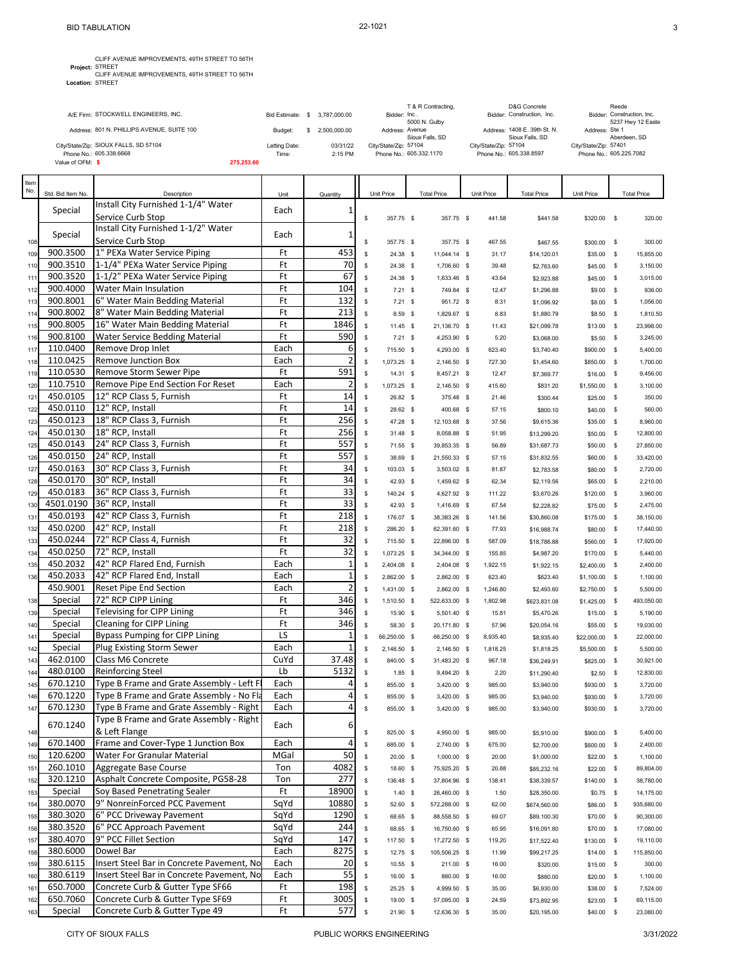CLIFF AVENUE IMPROVEMENTS, 49TH STREET TO 56TH

**Project:** STREET CLIFF AVENUE IMPROVEMENTS, 49TH STREET TO 56TH

|                 | <b>Location: STREET</b>                                                                                                                                                                 |                                                                   |                                   |                                                                             |                   |                                                                                     |                                                       |                       |                                                                                                                          |                                                                    |              |                                                                 |
|-----------------|-----------------------------------------------------------------------------------------------------------------------------------------------------------------------------------------|-------------------------------------------------------------------|-----------------------------------|-----------------------------------------------------------------------------|-------------------|-------------------------------------------------------------------------------------|-------------------------------------------------------|-----------------------|--------------------------------------------------------------------------------------------------------------------------|--------------------------------------------------------------------|--------------|-----------------------------------------------------------------|
|                 | A/E Firm: STOCKWELL ENGINEERS, INC.<br>Address: 801 N. PHILLIPS AVENUE, SUITE 100<br>City/State/Zip: SIOUX FALLS, SD 57104<br>Phone No.: 605.338.6668<br>Value of OFM: \$<br>275,253.60 |                                                                   | Budget:<br>Letting Date:<br>Time: | Bid Estimate: \$ 3,787,000.00<br>2,500,000.00<br>\$.<br>03/31/22<br>2:15 PM |                   | Bidder: Inc.<br>Address: Avenue<br>City/State/Zip: 57104<br>Phone No.: 605.332.1170 | T & R Contracting<br>5000 N. Gulby<br>Sioux Falls, SD | City/State/Zip: 57104 | D&G Concrete<br>Bidder: Construction, Inc.<br>Address: 1408 E. 39th St. N.<br>Sioux Falls, SD<br>Phone No.: 605.338.8597 | Address: Ste 1<br>City/State/Zip: 57401<br>Phone No.: 605.225.7082 | Reede        | Bidder: Construction, Inc.<br>5237 Hwy 12 Easte<br>Aberdeen, SD |
| Item            |                                                                                                                                                                                         |                                                                   |                                   |                                                                             |                   |                                                                                     |                                                       |                       |                                                                                                                          |                                                                    |              |                                                                 |
| No.             | Std. Bid Item No.                                                                                                                                                                       | Description                                                       | Unit                              | Quantity                                                                    |                   | Unit Price                                                                          | <b>Total Price</b>                                    | Unit Price            | <b>Total Price</b>                                                                                                       | Unit Price                                                         |              | <b>Total Price</b>                                              |
|                 | Special                                                                                                                                                                                 | Install City Furnished 1-1/4" Water                               | Each                              | 1                                                                           |                   |                                                                                     |                                                       |                       |                                                                                                                          |                                                                    |              |                                                                 |
|                 |                                                                                                                                                                                         | Service Curb Stop                                                 |                                   |                                                                             | $\mathbf{s}$      | 357.75 \$                                                                           | 357.75 \$                                             | 441.58                | \$441.58                                                                                                                 | \$320.00 \$                                                        |              | 320.00                                                          |
|                 | Special                                                                                                                                                                                 | Install City Furnished 1-1/2" Water                               | Each                              | 1                                                                           |                   |                                                                                     |                                                       |                       |                                                                                                                          |                                                                    |              |                                                                 |
| 108             |                                                                                                                                                                                         | Service Curb Stop                                                 |                                   |                                                                             | s                 | 357.75 \$                                                                           | 357.75 \$                                             | 467.55                | \$467.55                                                                                                                 | \$300.00                                                           | $\mathbf{s}$ | 300.00                                                          |
| 109             | 900.3500                                                                                                                                                                                | 1" PEXa Water Service Piping                                      | Ft                                | 453                                                                         | $\mathbb S$       | 24.38 \$                                                                            | 11,044.14 \$                                          | 31.17                 | \$14,120.01                                                                                                              | \$35.00                                                            | $\mathbb{S}$ | 15,855.00                                                       |
| 11(             | 900.3510                                                                                                                                                                                | 1-1/4" PEXa Water Service Piping                                  | Ft                                | 70                                                                          | $\mathbb S$       | 24.38 \$                                                                            | 1,706.60 \$                                           | 39.48                 | \$2,763.60                                                                                                               | \$45.00 \$                                                         |              | 3,150.00                                                        |
| 11 <sup>°</sup> | 900.3520                                                                                                                                                                                | 1-1/2" PEXa Water Service Piping                                  | Ft                                | 67                                                                          | s                 | 24.38 \$                                                                            | 1,633.46 \$                                           | 43.64                 | \$2,923.88                                                                                                               | \$45.00                                                            | $\mathbf{s}$ | 3,015.00                                                        |
| 112             | 900.4000                                                                                                                                                                                | <b>Water Main Insulation</b>                                      | Ft                                | 104                                                                         | s                 | $7.21$ \$                                                                           | 749.84 \$                                             | 12.47                 | \$1,296.88                                                                                                               | \$9.00                                                             | - \$         | 936.00                                                          |
| 11              | 900.8001                                                                                                                                                                                | 6" Water Main Bedding Material                                    | Ft                                | 132                                                                         | \$                | $7.21$ \$                                                                           | 951.72 \$                                             | 8.31                  | \$1,096.92                                                                                                               | \$8.00                                                             | $\mathbf{s}$ | 1,056.00                                                        |
| 11              | 900.8002                                                                                                                                                                                | 8" Water Main Bedding Material                                    | Ft                                | 213                                                                         | $\mathbb S$       | 8.59 \$                                                                             | 1,829.67 \$                                           | 8.83                  | \$1,880.79                                                                                                               | \$8.50                                                             | - \$         | 1,810.50                                                        |
| 11              | 900.8005<br>900.8100                                                                                                                                                                    | 16" Water Main Bedding Material<br>Water Service Bedding Material | Ft<br>Ft                          | 1846<br>590                                                                 | $\mathbb S$       | $11.45$ \$                                                                          | 21,136.70 \$                                          | 11.43                 | \$21,099.78                                                                                                              | \$13.00                                                            | $\mathbf{s}$ | 23,998.00                                                       |
| 116             |                                                                                                                                                                                         |                                                                   |                                   |                                                                             | s                 | $7.21$ \$                                                                           | 4,253.90 \$                                           | 5.20                  | \$3,068,00                                                                                                               | \$5.50                                                             | $\mathbf{s}$ | 3,245.00                                                        |
| 117             | 110.0400                                                                                                                                                                                | Remove Drop Inlet                                                 | Each                              | 6<br>$\overline{2}$                                                         | $\mathbb{S}$      | 715.50 \$                                                                           | 4,293.00 \$                                           | 623.40                | \$3,740.40                                                                                                               | \$900.00 \$                                                        |              | 5,400.00                                                        |
| 118             | 110.0425<br>110.0530                                                                                                                                                                    | Remove Junction Box<br>Remove Storm Sewer Pipe                    | Each<br>Ft                        | 591                                                                         | \$                | 1,073.25 \$                                                                         | 2,146.50 \$                                           | 727.30                | \$1,454.60                                                                                                               | \$850.00                                                           | $\mathbf{s}$ | 1,700.00                                                        |
| 119             | 110.7510                                                                                                                                                                                | Remove Pipe End Section For Reset                                 | Each                              | $\overline{2}$                                                              | s                 | $14.31$ \$                                                                          | 8,457.21 \$                                           | 12.47                 | \$7,369.77                                                                                                               | \$16.00                                                            | - \$         | 9,456.00                                                        |
| 120             | 450.0105                                                                                                                                                                                | 12" RCP Class 5, Furnish                                          | Ft                                | 14                                                                          | s                 | 1,073.25 \$                                                                         | 2,146.50 \$                                           | 415.60                | \$831.20                                                                                                                 | \$1,550.00                                                         | $\mathbf{s}$ | 3,100.00                                                        |
| 12 <sup>1</sup> | 450.0110                                                                                                                                                                                | 12" RCP, Install                                                  | Ft                                | 14                                                                          | s                 | 26.82 \$                                                                            | 375.48 \$                                             | 21.46                 | \$300.44                                                                                                                 | \$25.00                                                            | - \$         | 350.00                                                          |
| 122<br>123      | 450.0123                                                                                                                                                                                | 18" RCP Class 3, Furnish                                          | Ft                                | 256                                                                         | $\mathbb S$<br>\$ | 28.62 \$<br>47.28 \$                                                                | 400.68 \$                                             | 57.15<br>37.56        | \$800.10                                                                                                                 | \$40.00 \$                                                         | $\mathbf{s}$ | 560.00<br>8,960.00                                              |
| 124             | 450.0130                                                                                                                                                                                | 18" RCP, Install                                                  | Ft                                | 256                                                                         | s                 | $31.48$ \$                                                                          | 12,103.68 \$<br>8,058.88 \$                           | 51.95                 | \$9,615.36<br>\$13,299.20                                                                                                | \$35.00<br>\$50.00 \$                                              |              | 12,800.00                                                       |
| 125             | 450.0143                                                                                                                                                                                | 24" RCP Class 3, Furnish                                          | Ft                                | 557                                                                         | $\mathbb{S}$      | 71.55 \$                                                                            | 39,853.35 \$                                          | 56.89                 | \$31,687.73                                                                                                              | \$50.00                                                            | $\mathbf{s}$ | 27,850.00                                                       |
| 126             | 450.0150                                                                                                                                                                                | 24" RCP, Install                                                  | Ft                                | 557                                                                         | $\mathbb{S}$      | 38.69 \$                                                                            | 21,550.33 \$                                          | 57.15                 | \$31,832.55                                                                                                              | \$60.00                                                            | $\mathbf{s}$ | 33,420.00                                                       |
| 127             | 450.0163                                                                                                                                                                                | 30" RCP Class 3, Furnish                                          | Ft                                | 34                                                                          | $\mathbb S$       | 103.03 \$                                                                           | 3,503.02 \$                                           | 81.87                 | \$2,783.58                                                                                                               | \$80.00                                                            | $\mathbf{s}$ | 2,720.00                                                        |
| 128             | 450.0170                                                                                                                                                                                | 30" RCP, Install                                                  | Ft                                | 34                                                                          | $\mathbb S$       | 42.93 \$                                                                            | 1,459.62 \$                                           | 62.34                 | \$2,119.56                                                                                                               | \$65.00                                                            | $\mathbf{s}$ | 2,210.00                                                        |
| 129             | 450.0183                                                                                                                                                                                | 36" RCP Class 3, Furnish                                          | Ft                                | 33                                                                          | $\mathbb S$       | 140.24 \$                                                                           | 4,627.92 \$                                           | 111.22                | \$3,670.26                                                                                                               | \$120.00                                                           | $\mathsf{s}$ | 3,960.00                                                        |
| 130             | 4501.0190                                                                                                                                                                               | 36" RCP, Install                                                  | Ft                                | 33                                                                          | \$                | 42.93 \$                                                                            | 1,416.69 \$                                           | 67.54                 | \$2,228.82                                                                                                               | \$75.00                                                            | $\mathbf{s}$ | 2,475.00                                                        |
| 131             | 450.0193                                                                                                                                                                                | 42" RCP Class 3, Furnish                                          | Ft                                | 218                                                                         | $\mathbb{S}$      | 176.07 \$                                                                           | 38,383.26 \$                                          | 141.56                | \$30,860.08                                                                                                              | \$175.00                                                           | $\mathbf{s}$ | 38,150.00                                                       |
| 132             | 450.0200                                                                                                                                                                                | 42" RCP. Install                                                  | Ft                                | 218                                                                         | $\mathbb S$       | 286.20 \$                                                                           | 62,391.60 \$                                          | 77.93                 | \$16,988.74                                                                                                              | \$80.00                                                            | $\mathbf{s}$ | 17,440.00                                                       |
| 133             | 450.0244                                                                                                                                                                                | 72" RCP Class 4, Furnish                                          | Ft                                | 32                                                                          | $\mathbb S$       | 715.50 \$                                                                           | 22,896.00 \$                                          | 587.09                | \$18,786.88                                                                                                              | \$560.00                                                           | $\mathbf{s}$ | 17,920.00                                                       |
| 134             | 450.0250                                                                                                                                                                                | 72" RCP, Install                                                  | Ft                                | 32                                                                          | $\mathbb S$       | 1,073.25 \$                                                                         | 34,344.00 \$                                          | 155.85                | \$4,987.20                                                                                                               | \$170.00                                                           | \$           | 5,440.00                                                        |
| 135             | 450.2032                                                                                                                                                                                | 42" RCP Flared End, Furnish                                       | Each                              | $\mathbf{1}$                                                                | s                 | 2,404.08 \$                                                                         | 2,404.08 \$                                           | 1,922.15              | \$1,922.15                                                                                                               | \$2,400.00                                                         | - \$         | 2,400.00                                                        |
| 136             | 450.2033                                                                                                                                                                                | 42" RCP Flared End, Install                                       | Each                              | $\mathbf{1}$                                                                | s                 | 2.862.00 \$                                                                         | 2,862.00 \$                                           | 623.40                | \$623.40                                                                                                                 | \$1,100.00                                                         | $\mathbf{s}$ | 1,100.00                                                        |
|                 | 450.9001                                                                                                                                                                                | <b>Reset Pipe End Section</b>                                     | Each                              | $\overline{a}$                                                              | s                 | 1,431.00 \$                                                                         | 2,862.00 \$                                           | 1,246.80              | \$2,493.60                                                                                                               | \$2,750.00                                                         | $\mathsf{s}$ | 5,500.00                                                        |
| 138             | Special                                                                                                                                                                                 | 72" RCP CIPP Lining                                               | Ft                                | 346                                                                         | s                 | 1,510.50 \$                                                                         | 522,633.00 \$                                         | 1,802.98              | \$623,831.08                                                                                                             | \$1,425.00                                                         | $\mathbf{s}$ | 493,050.00                                                      |
| 139             | Special                                                                                                                                                                                 | Televising for CIPP Lining                                        | Ft                                | 346                                                                         | $\mathbb S$       | 15.90 \$                                                                            | 5.501.40 \$                                           | 15.81                 | \$5,470.26                                                                                                               | \$15.00                                                            | - \$         | 5,190.00                                                        |
| 14(             | Special                                                                                                                                                                                 | Cleaning for CIPP Lining                                          | Ft                                | 346                                                                         | s                 | 58.30 \$                                                                            | 20,171.80 \$                                          | 57.96                 | \$20,054.16                                                                                                              | \$55.00                                                            | - \$         | 19,030.00                                                       |
| 141             | Special                                                                                                                                                                                 | <b>Bypass Pumping for CIPP Lining</b>                             | LS                                | $\overline{1}$                                                              | s                 | 66,250.00 \$                                                                        | 66,250.00 \$                                          | 8,935.40              | \$8,935.40                                                                                                               | \$22,000.00                                                        | $\mathbf{s}$ | 22,000.00                                                       |
| 142             | Special                                                                                                                                                                                 | Plug Existing Storm Sewer                                         | Each                              | 1                                                                           | s                 | 2,146.50 \$                                                                         | 2,146.50 \$                                           | 1,818.25              | \$1,818.25                                                                                                               | \$5,500.00 \$                                                      |              | 5,500.00                                                        |
| 143             | 462.0100                                                                                                                                                                                | Class M6 Concrete                                                 | CuYd                              | 37.48                                                                       | $\mathbb S$       | 840.00 \$                                                                           | 31,483.20 \$                                          | 967.18                | \$36,249.91                                                                                                              | \$825.00                                                           | $\mathbb{S}$ | 30,921.00                                                       |
| 14              | 480.0100                                                                                                                                                                                | <b>Reinforcing Steel</b>                                          | Lb                                | 5132                                                                        | s                 | 1.85S                                                                               | 9,494.20 \$                                           | 2.20                  | \$11,290.40                                                                                                              | \$2.50                                                             | - \$         | 12,830.00                                                       |
| 145             | 670.1210                                                                                                                                                                                | Type B Frame and Grate Assembly - Left Fl                         | Each                              | 4                                                                           | s                 | 855.00 \$                                                                           | 3,420.00 \$                                           | 985.00                | \$3,940.00                                                                                                               | \$930.00                                                           | $\mathbf{s}$ | 3,720.00                                                        |
| 146             | 670.1220                                                                                                                                                                                | Type B Frame and Grate Assembly - No Fla                          | Each                              | 4                                                                           | s                 | 855.00 \$                                                                           | 3,420.00 \$                                           | 985.00                | \$3,940.00                                                                                                               | \$930.00                                                           | $\mathsf{s}$ | 3,720.00                                                        |

| 146 | 670.1220 | Type B Frame and Grate Assembly - No Fla  | Each | 4     | 855.00 \$  | 3.420.00 \$   | 985.00 | \$3,940.00   | \$930.00 \$ | 3,720.00   |
|-----|----------|-------------------------------------------|------|-------|------------|---------------|--------|--------------|-------------|------------|
| 147 | 670.1230 | Type B Frame and Grate Assembly - Right   | Each |       | 855.00 \$  | 3.420.00 \$   | 985.00 | \$3,940.00   | \$930.00 \$ | 3,720.00   |
|     | 670.1240 | Type B Frame and Grate Assembly - Right   | Each | 6     |            |               |        |              |             |            |
| 148 |          | & Left Flange                             |      |       | 825.00 \$  | 4,950.00 \$   | 985.00 | \$5,910.00   | \$900.00 \$ | 5,400.00   |
| 149 | 670.1400 | Frame and Cover-Type 1 Junction Box       | Each |       | 685.00 \$  | 2,740.00 \$   | 675.00 | \$2,700.00   | \$600.00 \$ | 2,400.00   |
| 150 | 120.6200 | <b>Water For Granular Material</b>        | MGal | 50    | $20.00$ \$ | 1.000.00 \$   | 20.00  | \$1,000.00   | $$22.00$ \$ | 1,100.00   |
| 151 | 260.1010 | Aggregate Base Course                     | Ton  | 4082  | 18.60 \$   | 75,925.20 \$  | 20.88  | \$85,232.16  | \$22.00 \$  | 89,804.00  |
| 152 | 320.1210 | Asphalt Concrete Composite, PG58-28       | Ton  | 277   | 136.48 \$  | 37,804.96 \$  | 138.41 | \$38,339.57  | \$140.00 \$ | 38,780.00  |
| 153 | Special  | Sov Based Penetrating Sealer              | Ft   | 18900 | 1.40 S     | 26.460.00 \$  | 1.50   | \$28,350.00  | $$0.75$ \$  | 14,175.00  |
| 154 | 380.0070 | 9" NonreinForced PCC Pavement             | SqYd | 10880 | 52.60 \$   | 572.288.00 \$ | 62.00  | \$674,560.00 | \$86.00 \$  | 935,680.00 |
| 155 | 380.3020 | 6" PCC Driveway Pavement                  | SqYd | 1290  | 68.65 \$   | 88,558.50 \$  | 69.07  | \$89,100.30  | \$70.00 \$  | 90,300.00  |
| 156 | 380.3520 | 6" PCC Approach Pavement                  | SqYd | 244   | 68.65 \$   | 16,750.60 \$  | 65.95  | \$16,091.80  | \$70.00 \$  | 17,080.00  |
| 157 | 380.4070 | 9" PCC Fillet Section                     | SqYd | 147   | 117.50 \$  | 17,272.50 \$  | 119.20 | \$17.522.40  | \$130.00 \$ | 19,110.00  |
| 158 | 380.6000 | Dowel Bar                                 | Each | 8275  | 12.75 \$   | 105.506.25 \$ | 11.99  | \$99.217.25  | $$14.00$ \$ | 115,850.00 |
| 159 | 380.6115 | Insert Steel Bar in Concrete Pavement, No | Each | 20    | $10.55$ \$ | 211.00 \$     | 16.00  | \$320.00     | $$15.00$ \$ | 300.00     |
| 160 | 380.6119 | Insert Steel Bar in Concrete Pavement, No | Each | 55    | 16.00 \$   | 880.00 \$     | 16.00  | \$880.00     | $$20.00$ \$ | 1,100.00   |
| 161 | 650.7000 | Concrete Curb & Gutter Type SF66          | Ft   | 198   | $25.25$ \$ | 4,999.50 \$   | 35.00  | \$6,930.00   | \$38.00 \$  | 7,524.00   |
| 162 | 650.7060 | Concrete Curb & Gutter Type SF69          | Ft   | 3005  | 19.00 \$   | 57,095.00 \$  | 24.59  | \$73.892.95  | $$23.00$ \$ | 69,115.00  |
| 163 | Special  | Concrete Curb & Gutter Type 49            | Ft   | 577   | $21.90$ \$ | 12.636.30 \$  | 35.00  | \$20,195.00  | \$40.00 \$  | 23,080.00  |
|     |          |                                           |      |       |            |               |        |              |             |            |